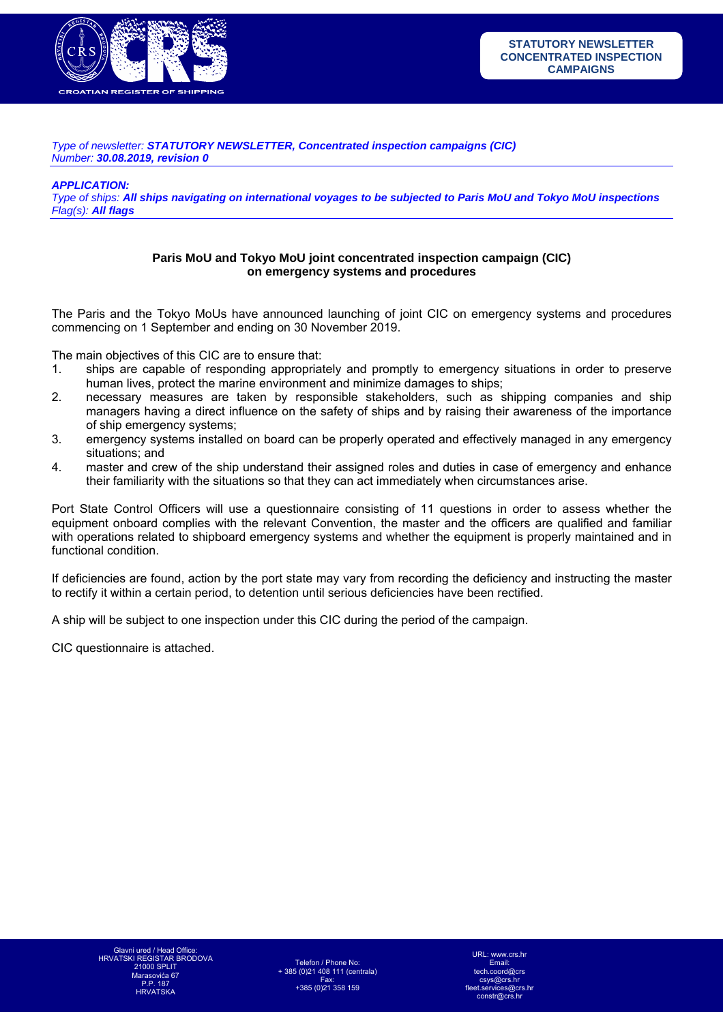

*Type of newsletter: STATUTORY NEWSLETTER, Concentrated inspection campaigns (CIC) Number: 30.08.2019, revision 0* 

*APPLICATION:* 

*Type of ships: All ships navigating on international voyages to be subjected to Paris MoU and Tokyo MoU inspections Flag(s): All flags*

## **Paris MoU and Tokyo MoU joint concentrated inspection campaign (CIC) on emergency systems and procedures**

The Paris and the Tokyo MoUs have announced launching of joint CIC on emergency systems and procedures commencing on 1 September and ending on 30 November 2019.

The main objectives of this CIC are to ensure that:

- 1. ships are capable of responding appropriately and promptly to emergency situations in order to preserve human lives, protect the marine environment and minimize damages to ships;
- 2. necessary measures are taken by responsible stakeholders, such as shipping companies and ship managers having a direct influence on the safety of ships and by raising their awareness of the importance of ship emergency systems;
- 3. emergency systems installed on board can be properly operated and effectively managed in any emergency situations; and
- 4. master and crew of the ship understand their assigned roles and duties in case of emergency and enhance their familiarity with the situations so that they can act immediately when circumstances arise.

Port State Control Officers will use a questionnaire consisting of 11 questions in order to assess whether the equipment onboard complies with the relevant Convention, the master and the officers are qualified and familiar with operations related to shipboard emergency systems and whether the equipment is properly maintained and in functional condition.

If deficiencies are found, action by the port state may vary from recording the deficiency and instructing the master to rectify it within a certain period, to detention until serious deficiencies have been rectified.

A ship will be subject to one inspection under this CIC during the period of the campaign.

CIC questionnaire is attached.